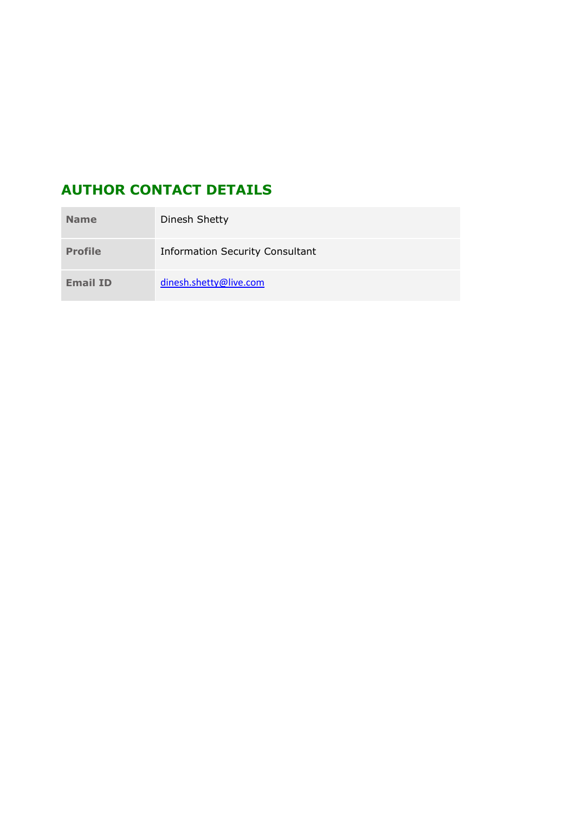## **AUTHOR CONTACT DETAILS**

| <b>Name</b>     | Dinesh Shetty                          |
|-----------------|----------------------------------------|
| <b>Profile</b>  | <b>Information Security Consultant</b> |
| <b>Email ID</b> | dinesh.shetty@live.com                 |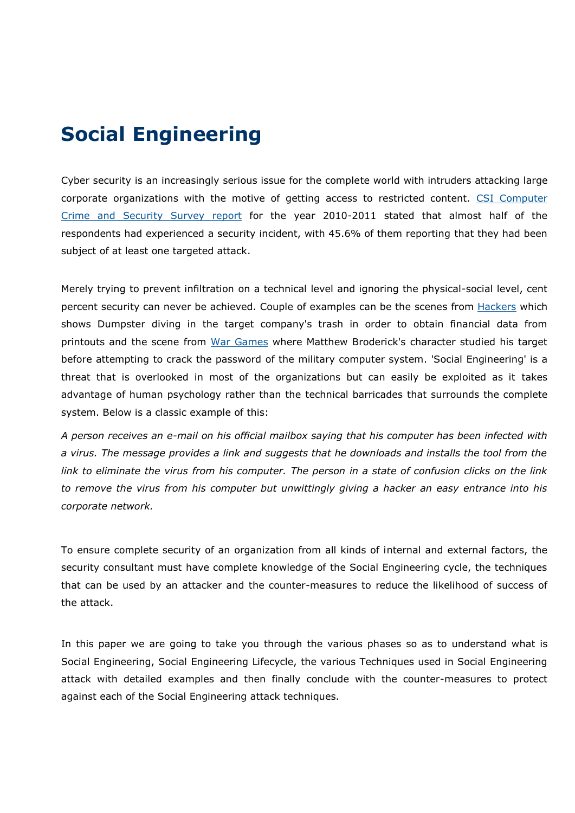# **Social Engineering**

Cyber security is an increasingly serious issue for the complete world with intruders attacking large corporate organizations with the motive of getting access to restricted content. CSI [Computer](http://analytics.informationweek.com/abstract/21/7377/Security/research-2010-2011-csi-survey.html) Crime and [Security](http://analytics.informationweek.com/abstract/21/7377/Security/research-2010-2011-csi-survey.html) Survey report for the year 2010-2011 stated that almost half of the respondents had experienced a security incident, with 45.6% of them reporting that they had been subject of at least one targeted attack.

Merely trying to prevent infiltration on a technical level and ignoring the physical-social level, cent percent security can never be achieved. Couple of examples can be the scenes from [Hackers](http://en.wikipedia.org/wiki/Hackers_(film)) which shows Dumpster diving in the target company's trash in order to obtain financial data from printouts and the scene from War [Games](http://en.wikipedia.org/wiki/WarGames) where Matthew Broderick's character studied his target before attempting to crack the password of the military computer system. 'Social Engineering' is a threat that is overlooked in most of the organizations but can easily be exploited as it takes advantage of human psychology rather than the technical barricades that surrounds the complete system. Below is a classic example of this:

*A person receives an e-mail on his official mailbox saying that his computer has been infected with a virus. The message provides a link and suggests that he downloads and installs the tool from the link to eliminate the virus from his computer. The person in a state of confusion clicks on the link to remove the virus from his computer but unwittingly giving a hacker an easy entrance into his corporate network.*

To ensure complete security of an organization from all kinds of internal and external factors, the security consultant must have complete knowledge of the Social Engineering cycle, the techniques that can be used by an attacker and the counter-measures to reduce the likelihood of success of the attack.

In this paper we are going to take you through the various phases so as to understand what is Social Engineering, Social Engineering Lifecycle, the various Techniques used in Social Engineering attack with detailed examples and then finally conclude with the counter-measures to protect against each of the Social Engineering attack techniques.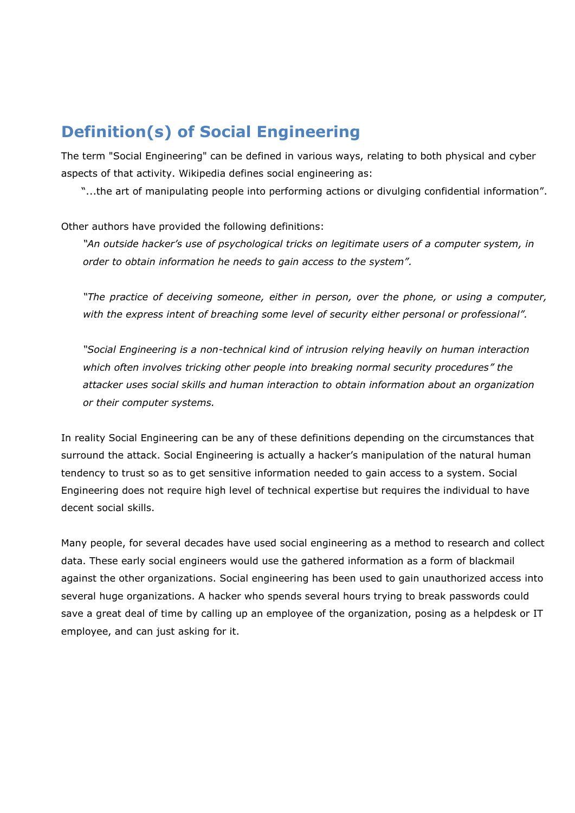### **Definition(s) of Social Engineering**

The term "Social Engineering" can be defined in various ways, relating to both physical and cyber aspects of that activity. Wikipedia defines social engineering as:

"...the art of manipulating people into performing actions or divulging confidential information".

Other authors have provided the following definitions:

"An outside hacker's use of psychological tricks on legitimate users of a computer system, in *order to obtain information he needs to gain access to the system".*

*"The practice of deceiving someone, either in person, over the phone, or using a computer, with the express intent of breaching some level of security either personal or professional".*

*"Social Engineering is a non-technical kind of intrusion relying heavily on human interaction which often involves tricking other people into breaking normal security procedures" the attacker uses social skills and human interaction to obtain information about an organization or their computer systems.*

In reality Social Engineering can be any of these definitions depending on the circumstances that surround the attack. Social Engineering is actually a hacker"s manipulation of the natural human tendency to trust so as to get sensitive information needed to gain access to a system. Social Engineering does not require high level of technical expertise but requires the individual to have decent social skills.

Many people, for several decades have used social engineering as a method to research and collect data. These early social engineers would use the gathered information as a form of blackmail against the other organizations. Social engineering has been used to gain unauthorized access into several huge organizations. A hacker who spends several hours trying to break passwords could save a great deal of time by calling up an employee of the organization, posing as a helpdesk or IT employee, and can just asking for it.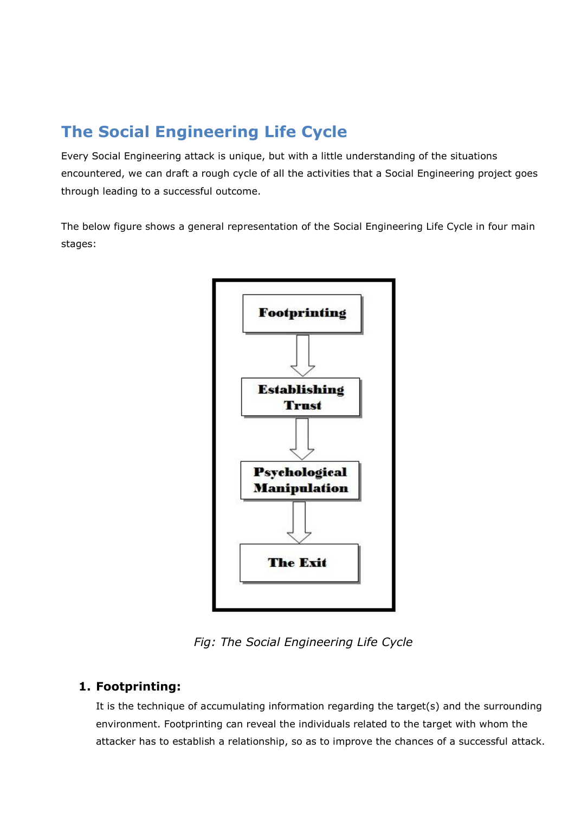## **The Social Engineering Life Cycle**

Every Social Engineering attack is unique, but with a little understanding of the situations encountered, we can draft a rough cycle of all the activities that a Social Engineering project goes through leading to a successful outcome.

The below figure shows a general representation of the Social Engineering Life Cycle in four main stages:



 *Fig: The Social Engineering Life Cycle*

#### **1. Footprinting:**

It is the technique of accumulating information regarding the target(s) and the surrounding environment. Footprinting can reveal the individuals related to the target with whom the attacker has to establish a relationship, so as to improve the chances of a successful attack.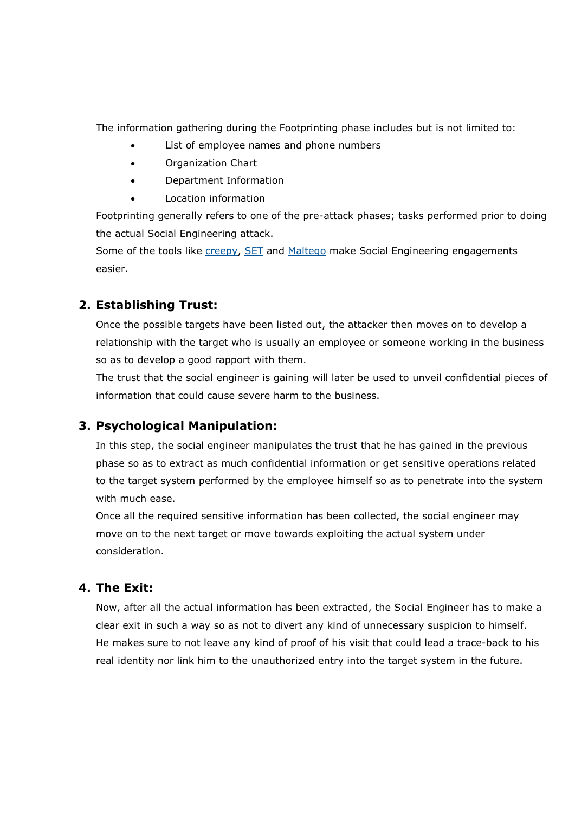The information gathering during the Footprinting phase includes but is not limited to:

- List of employee names and phone numbers
- Organization Chart
- Department Information
- Location information

Footprinting generally refers to one of the pre-attack phases; tasks performed prior to doing the actual Social Engineering attack.

Some of the tools like [creepy,](http://ilektrojohn.github.com/creepy/) [SET](http://www.social-engineer.org/framework/Computer_Based_Social_Engineering_Tools:_Social_Engineer_Toolkit_(SET)) and [Maltego](http://www.paterva.com/) make Social Engineering engagements easier.

#### **2. Establishing Trust:**

Once the possible targets have been listed out, the attacker then moves on to develop a relationship with the target who is usually an employee or someone working in the business so as to develop a good rapport with them.

The trust that the social engineer is gaining will later be used to unveil confidential pieces of information that could cause severe harm to the business.

#### **3. Psychological Manipulation:**

In this step, the social engineer manipulates the trust that he has gained in the previous phase so as to extract as much confidential information or get sensitive operations related to the target system performed by the employee himself so as to penetrate into the system with much ease.

Once all the required sensitive information has been collected, the social engineer may move on to the next target or move towards exploiting the actual system under consideration.

#### **4. The Exit:**

Now, after all the actual information has been extracted, the Social Engineer has to make a clear exit in such a way so as not to divert any kind of unnecessary suspicion to himself. He makes sure to not leave any kind of proof of his visit that could lead a trace-back to his real identity nor link him to the unauthorized entry into the target system in the future.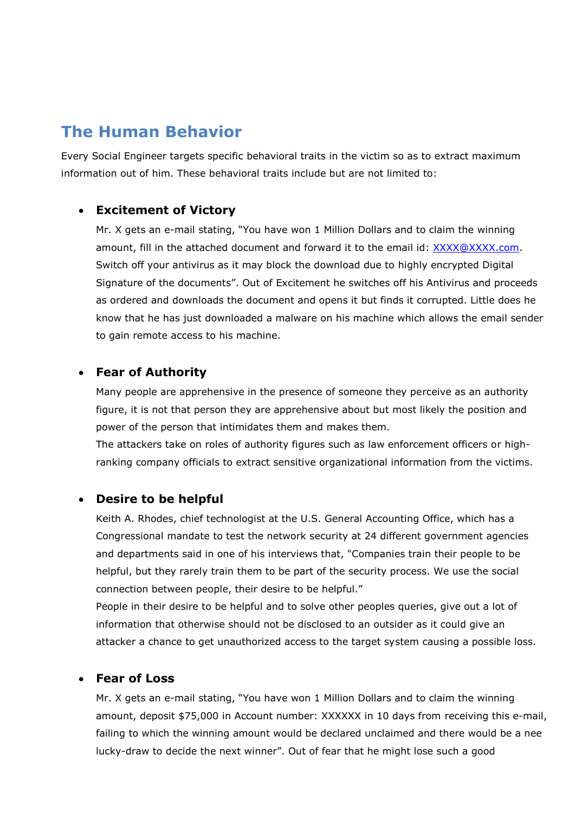### **The Human Behavior**

Every Social Engineer targets specific behavioral traits in the victim so as to extract maximum information out of him. These behavioral traits include but are not limited to:

#### **Excitement of Victory**

Mr. X gets an e-mail stating, "You have won 1 Million Dollars and to claim the winning amount, fill in the attached document and forward it to the email id: [XXXX@XXXX.com.](mailto:XXXX@XXXX.com) Switch off your antivirus as it may block the download due to highly encrypted Digital Signature of the documents". Out of Excitement he switches off his Antivirus and proceeds as ordered and downloads the document and opens it but finds it corrupted. Little does he know that he has just downloaded a malware on his machine which allows the email sender to gain remote access to his machine.

#### **Fear of Authority**

Many people are apprehensive in the presence of someone they perceive as an authority figure, it is not that person they are apprehensive about but most likely the position and power of the person that intimidates them and makes them.

The attackers take on roles of authority figures such as law enforcement officers or highranking company officials to extract sensitive organizational information from the victims.

#### **Desire to be helpful**

Keith A. Rhodes, chief technologist at the U.S. General Accounting Office, which has a Congressional mandate to test the network security at 24 different government agencies and departments said in one of his interviews that, "Companies train their people to be helpful, but they rarely train them to be part of the security process. We use the social connection between people, their desire to be helpful."

People in their desire to be helpful and to solve other peoples queries, give out a lot of information that otherwise should not be disclosed to an outsider as it could give an attacker a chance to get unauthorized access to the target system causing a possible loss.

#### **Fear of Loss**

Mr. X gets an e-mail stating, "You have won 1 Million Dollars and to claim the winning amount, deposit \$75,000 in Account number: XXXXXX in 10 days from receiving this e-mail, failing to which the winning amount would be declared unclaimed and there would be a nee lucky-draw to decide the next winner". Out of fear that he might lose such a good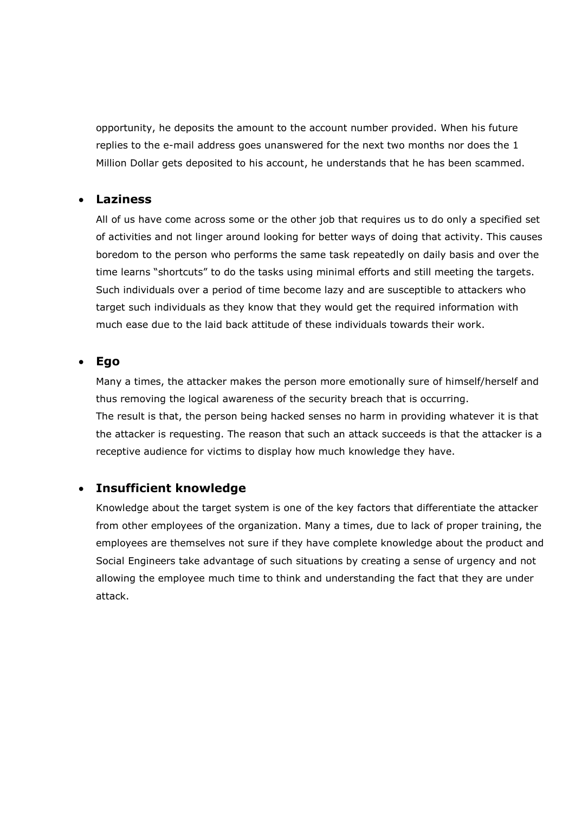opportunity, he deposits the amount to the account number provided. When his future replies to the e-mail address goes unanswered for the next two months nor does the 1 Million Dollar gets deposited to his account, he understands that he has been scammed.

#### **Laziness**

All of us have come across some or the other job that requires us to do only a specified set of activities and not linger around looking for better ways of doing that activity. This causes boredom to the person who performs the same task repeatedly on daily basis and over the time learns "shortcuts" to do the tasks using minimal efforts and still meeting the targets. Such individuals over a period of time become lazy and are susceptible to attackers who target such individuals as they know that they would get the required information with much ease due to the laid back attitude of these individuals towards their work.

#### **Ego**

Many a times, the attacker makes the person more emotionally sure of himself/herself and thus removing the logical awareness of the security breach that is occurring. The result is that, the person being hacked senses no harm in providing whatever it is that the attacker is requesting. The reason that such an attack succeeds is that the attacker is a receptive audience for victims to display how much knowledge they have.

#### **Insufficient knowledge**

Knowledge about the target system is one of the key factors that differentiate the attacker from other employees of the organization. Many a times, due to lack of proper training, the employees are themselves not sure if they have complete knowledge about the product and Social Engineers take advantage of such situations by creating a sense of urgency and not allowing the employee much time to think and understanding the fact that they are under attack.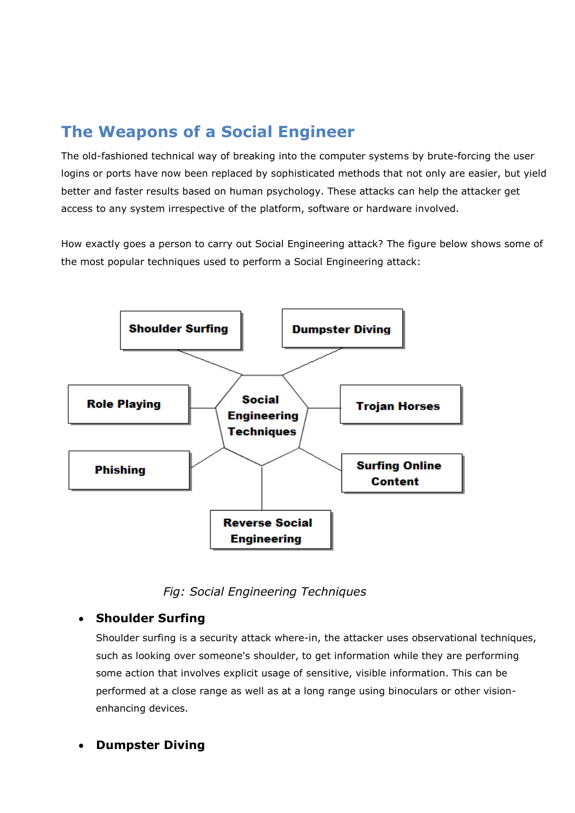## **The Weapons of a Social Engineer**

The old-fashioned technical way of breaking into the computer systems by brute-forcing the user logins or ports have now been replaced by sophisticated methods that not only are easier, but yield better and faster results based on human psychology. These attacks can help the attacker get access to any system irrespective of the platform, software or hardware involved.

How exactly goes a person to carry out Social Engineering attack? The figure below shows some of the most popular techniques used to perform a Social Engineering attack:



 *Fig: Social Engineering Techniques*

#### **Shoulder Surfing**

Shoulder surfing is a security attack where-in, the attacker uses observational techniques, such as looking over someone's shoulder, to get information while they are performing some action that involves explicit usage of sensitive, visible information. This can be performed at a close range as well as at a long range using binoculars or other visionenhancing devices.

#### **Dumpster Diving**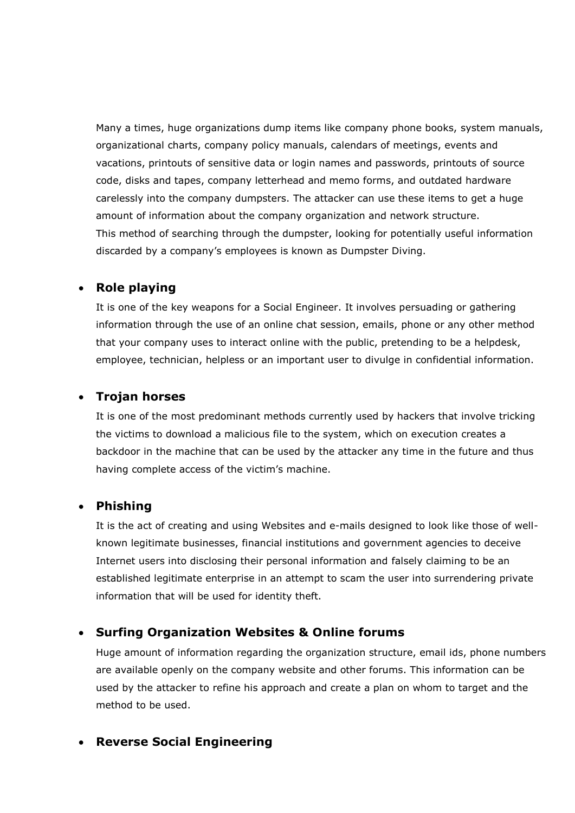Many a times, huge organizations dump items like company phone books, system manuals, organizational charts, company policy manuals, calendars of meetings, events and vacations, printouts of sensitive data or login names and passwords, printouts of source code, disks and tapes, company letterhead and memo forms, and outdated hardware carelessly into the company dumpsters. The attacker can use these items to get a huge amount of information about the company organization and network structure. This method of searching through the dumpster, looking for potentially useful information discarded by a company"s employees is known as Dumpster Diving.

#### **Role playing**

It is one of the key weapons for a Social Engineer. It involves persuading or gathering information through the use of an online chat session, emails, phone or any other method that your company uses to interact online with the public, pretending to be a helpdesk, employee, technician, helpless or an important user to divulge in confidential information.

#### **Trojan horses**

It is one of the most predominant methods currently used by hackers that involve tricking the victims to download a malicious file to the system, which on execution creates a backdoor in the machine that can be used by the attacker any time in the future and thus having complete access of the victim's machine.

#### **Phishing**

It is the act of creating and using Websites and e-mails designed to look like those of wellknown legitimate businesses, financial institutions and government agencies to deceive Internet users into disclosing their personal information and falsely claiming to be an established legitimate enterprise in an attempt to scam the user into surrendering private information that will be used for identity theft.

#### **Surfing Organization Websites & Online forums**

Huge amount of information regarding the organization structure, email ids, phone numbers are available openly on the company website and other forums. This information can be used by the attacker to refine his approach and create a plan on whom to target and the method to be used.

#### **Reverse Social Engineering**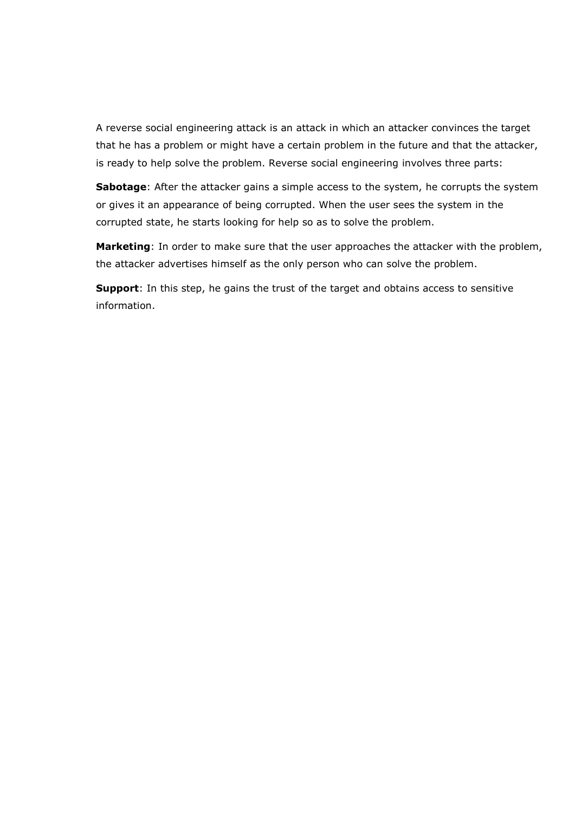A reverse social engineering attack is an attack in which an attacker convinces the target that he has a problem or might have a certain problem in the future and that the attacker, is ready to help solve the problem. Reverse social engineering involves three parts:

**Sabotage**: After the attacker gains a simple access to the system, he corrupts the system or gives it an appearance of being corrupted. When the user sees the system in the corrupted state, he starts looking for help so as to solve the problem.

**Marketing**: In order to make sure that the user approaches the attacker with the problem, the attacker advertises himself as the only person who can solve the problem.

**Support**: In this step, he gains the trust of the target and obtains access to sensitive information.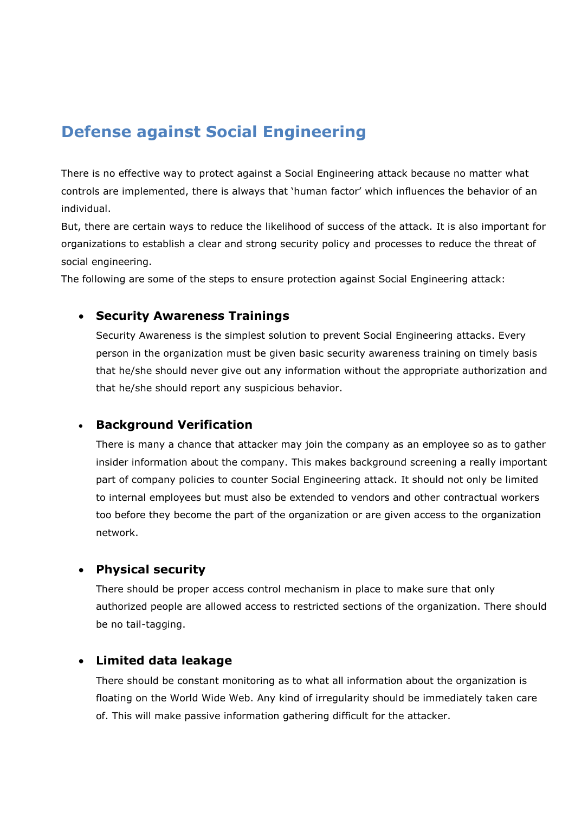### **Defense against Social Engineering**

There is no effective way to protect against a Social Engineering attack because no matter what controls are implemented, there is always that "human factor" which influences the behavior of an individual.

But, there are certain ways to reduce the likelihood of success of the attack. It is also important for organizations to establish a clear and strong security policy and processes to reduce the threat of social engineering.

The following are some of the steps to ensure protection against Social Engineering attack:

#### **Security Awareness Trainings**

Security Awareness is the simplest solution to prevent Social Engineering attacks. Every person in the organization must be given basic security awareness training on timely basis that he/she should never give out any information without the appropriate authorization and that he/she should report any suspicious behavior.

#### **Background Verification**

There is many a chance that attacker may join the company as an employee so as to gather insider information about the company. This makes background screening a really important part of company policies to counter Social Engineering attack. It should not only be limited to internal employees but must also be extended to vendors and other contractual workers too before they become the part of the organization or are given access to the organization network.

#### **Physical security**

There should be proper access control mechanism in place to make sure that only authorized people are allowed access to restricted sections of the organization. There should be no tail-tagging.

#### **Limited data leakage**

There should be constant monitoring as to what all information about the organization is floating on the World Wide Web. Any kind of irregularity should be immediately taken care of. This will make passive information gathering difficult for the attacker.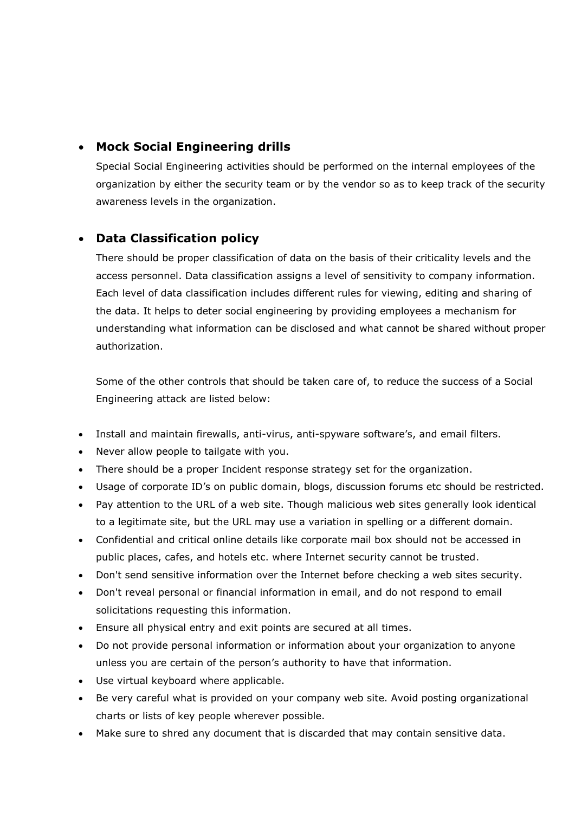#### **Mock Social Engineering drills**

Special Social Engineering activities should be performed on the internal employees of the organization by either the security team or by the vendor so as to keep track of the security awareness levels in the organization.

#### **Data Classification policy**

There should be proper classification of data on the basis of their criticality levels and the access personnel. Data classification assigns a level of sensitivity to company information. Each level of data classification includes different rules for viewing, editing and sharing of the data. It helps to deter social engineering by providing employees a mechanism for understanding what information can be disclosed and what cannot be shared without proper authorization.

Some of the other controls that should be taken care of, to reduce the success of a Social Engineering attack are listed below:

- Install and maintain firewalls, anti-virus, anti-spyware software's, and email filters.
- Never allow people to tailgate with you.
- There should be a proper Incident response strategy set for the organization.
- Usage of corporate ID"s on public domain, blogs, discussion forums etc should be restricted.
- Pay attention to the URL of a web site. Though malicious web sites generally look identical to a legitimate site, but the URL may use a variation in spelling or a different domain.
- Confidential and critical online details like corporate mail box should not be accessed in public places, cafes, and hotels etc. where Internet security cannot be trusted.
- Don't send sensitive information over the Internet before checking a web sites security.
- Don't reveal personal or financial information in email, and do not respond to email solicitations requesting this information.
- Ensure all physical entry and exit points are secured at all times.
- Do not provide personal information or information about your organization to anyone unless you are certain of the person"s authority to have that information.
- Use virtual keyboard where applicable.
- Be very careful what is provided on your company web site. Avoid posting organizational charts or lists of key people wherever possible.
- Make sure to shred any document that is discarded that may contain sensitive data.